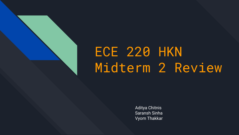

# ECE 220 HKN Midterm 2 Review

Aditya Chitnis Saransh Sinha Vyom Thakkar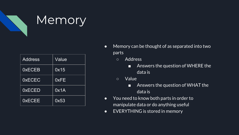

## Memory

| <b>Address</b> | Value |
|----------------|-------|
| <b>OXECEB</b>  | 0x15  |
| <b>OXECEC</b>  | 0xFE  |
| <b>OXECED</b>  | 0x1A  |
| <b>OXECEE</b>  | 0x53  |

- Memory can be thought of as separated into two parts
	- Address
		- Answers the question of WHERE the data is
	- Value
		- Answers the question of WHAT the data is
- You need to know both parts in order to manipulate data or do anything useful
- EVERYTHING is stored in memory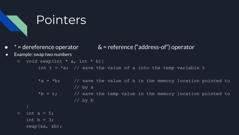

## Pointers

- $*$  = dereference operator  $\overline{\mathsf{A}}$  = reference ("address-of") operator
- Example: swap two numbers

$$
\circ \quad \text{void swap(int * a, int * b)} \{
$$

int  $t = *a$ ; // save the value of a into the temp variable t

- \*a = \*b;  $\frac{1}{2}$  // save the value of b in the memory location pointed to // by a \*b =  $t$ ; // save the temp value in the memory location pointed to // by b  $\circ$  int a = 5; int  $b = 3$ ;
	- $swap(\&a, \&b);$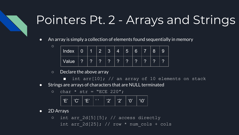# Pointers Pt. 2 - Arrays and Strings

● An array is simply a collection of elements found sequentially in memory

| Index | $\overline{0}$ | 1      | $\mid 2 \mid$ | $\mathbf{z}$    | $\boldsymbol{\varLambda}$ | $\overline{5}$ | 6             | $\overline{7}$ | $8^{\circ}$ | 9 |
|-------|----------------|--------|---------------|-----------------|---------------------------|----------------|---------------|----------------|-------------|---|
| Value | $\overline{?}$ | ⌒<br>ſ | ⌒<br>н        | $\sqrt{2}$<br>н | $\Omega$<br>н             | $\sim$<br>н    | $\Omega$<br>н | $\Omega$<br>н  | ◠<br>н      | ◚ |

- Declare the above array
	- $\blacksquare$  int arr[10]; // an array of 10 elements on stack
- Strings are arrays of characters that are NULL terminated

$$
\circ \quad char \star str = "ECE 220";
$$

| / 'E'   'C'   'E'   ' ' _   '2'   '2'   '0'   '\0' |  |  |  |  |  |  |  |
|----------------------------------------------------|--|--|--|--|--|--|--|
|----------------------------------------------------|--|--|--|--|--|--|--|

● 2D Arrays

 $\circ$ 

o int arr 2d[5][5]; // access directly int arr 2d[25]; // row \* num cols + cols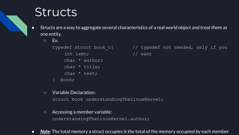## **Structs**

- Structs are a way to aggregate several characteristics of a real world object and treat them as one entity.
	- $\circ$  Ex.

int isbn; // want char \* author; char \* title; char \* text; book;

typedef struct book t{  $//$  typedef not needed, only if you

○ Variable Declaration:

struct book understandingTheLinuxKernel;

○ Accessing a member variable:

understandingTheLinuxKernel.author;

● *Note*: The total memory a struct occupies is the total of the memory occupied by each member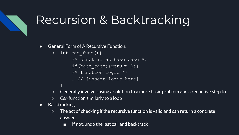# Recursion & Backtracking

● General Form of A Recursive Function:

```
○ int rec_func(){
/* check if at base case */if(base case){return 0;}
/* function logic */
… // [insert logic here]
```
- Generally involves using a solution to a more basic problem and a reductive step to
- *Can* function similarly to a loop
- Backtracking
	- The act of checking if the recursive function is valid and can return a concrete answer
		- If not, undo the last call and backtrack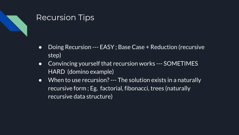

## Recursion Tips

- Doing Recursion --- EASY ; Base Case + Reduction (recursive step)
- Convincing yourself that recursion works --- SOMETIMES HARD (domino example)
- When to use recursion? --- The solution exists in a naturally recursive form ; Eg. factorial, fibonacci, trees (naturally recursive data structure)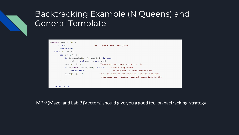## Backtracking Example (N Queens) and General Template



 $MP 9$  (Maze) and Lab 9 (Vectors) should give you a good feel on bactracking strategy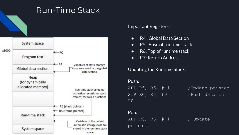

### Important Registers:

- R4 : Global Data Section
- R5 : Base of runtime stack
- R6: Top of runtime stack
- R7: Return Address

## Updating the Runtime Stack:

### Push:

STR RO, R6, #0 ; Push data in R0

## Pop:

ADD R6, R6,  $#-1$  ; Update pointer

ADD R6, R6, #-1 ; Update pointer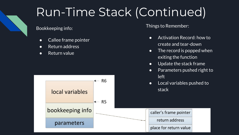# Run-Time Stack (Continued)

Bookkeeping info:

- Callee frame pointer
- Return address
- Return value

Things to Remember:

- Activation Record: how to create and tear-down
- The record is popped when exiting the function
- Update the stack frame
- Parameters pushed right to left
- Local variables pushed to stack